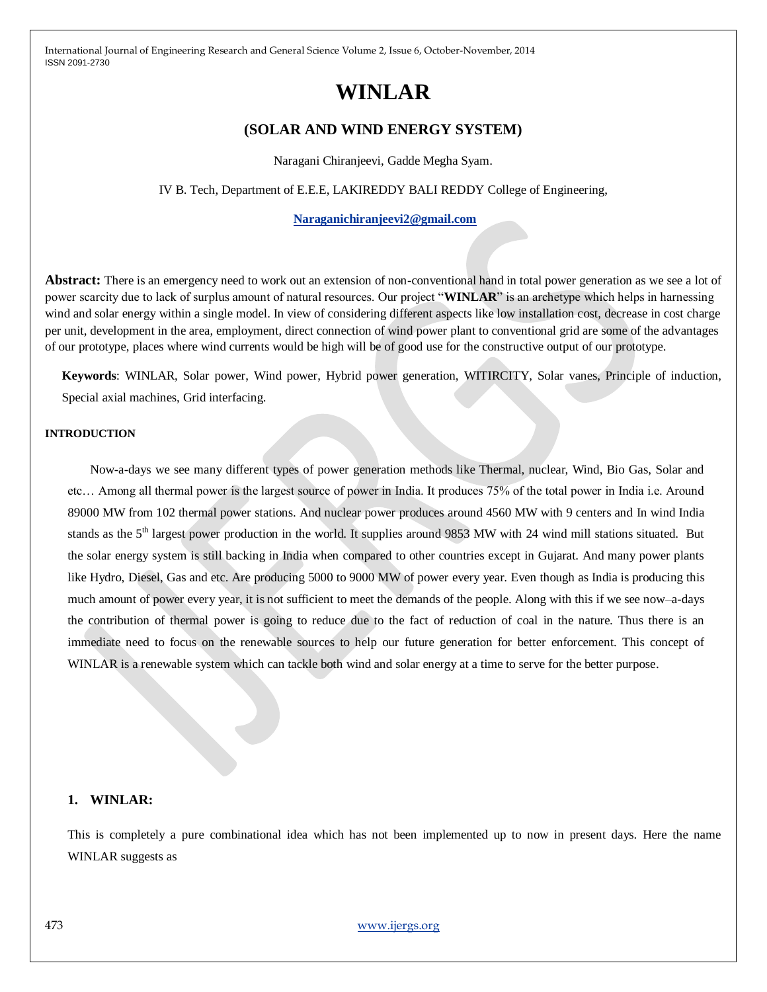# **WINLAR**

# **(SOLAR AND WIND ENERGY SYSTEM)**

Naragani Chiranjeevi, Gadde Megha Syam.

IV B. Tech, Department of E.E.E, LAKIREDDY BALI REDDY College of Engineering,

#### **[Naraganichiranjeevi2@gmail.com](mailto:Naraganichiranjeevi2@gmail.com)**

**Abstract:** There is an emergency need to work out an extension of non-conventional hand in total power generation as we see a lot of power scarcity due to lack of surplus amount of natural resources. Our project "**WINLAR**" is an archetype which helps in harnessing wind and solar energy within a single model. In view of considering different aspects like low installation cost, decrease in cost charge per unit, development in the area, employment, direct connection of wind power plant to conventional grid are some of the advantages of our prototype, places where wind currents would be high will be of good use for the constructive output of our prototype.

**Keywords**: WINLAR, Solar power, Wind power, Hybrid power generation, WITIRCITY, Solar vanes, Principle of induction, Special axial machines, Grid interfacing.

#### **INTRODUCTION**

Now-a-days we see many different types of power generation methods like Thermal, nuclear, Wind, Bio Gas, Solar and etc… Among all thermal power is the largest source of power in India. It produces 75% of the total power in India i.e. Around 89000 MW from 102 thermal power stations. And nuclear power produces around 4560 MW with 9 centers and In wind India stands as the  $5<sup>th</sup>$  largest power production in the world. It supplies around 9853 MW with 24 wind mill stations situated. But the solar energy system is still backing in India when compared to other countries except in Gujarat. And many power plants like Hydro, Diesel, Gas and etc. Are producing 5000 to 9000 MW of power every year. Even though as India is producing this much amount of power every year, it is not sufficient to meet the demands of the people. Along with this if we see now–a-days the contribution of thermal power is going to reduce due to the fact of reduction of coal in the nature. Thus there is an immediate need to focus on the renewable sources to help our future generation for better enforcement. This concept of WINLAR is a renewable system which can tackle both wind and solar energy at a time to serve for the better purpose.

#### **1. WINLAR:**

This is completely a pure combinational idea which has not been implemented up to now in present days. Here the name WINLAR suggests as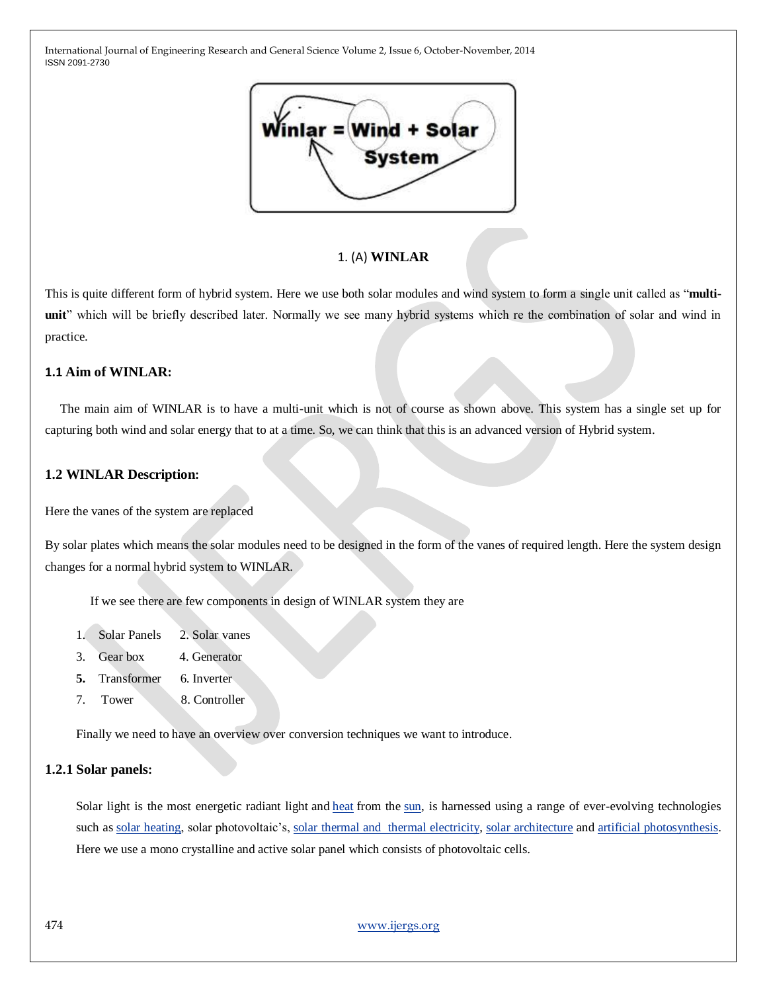

#### 1. (A) **WINLAR**

This is quite different form of hybrid system. Here we use both solar modules and wind system to form a single unit called as "**multiunit**" which will be briefly described later. Normally we see many hybrid systems which re the combination of solar and wind in practice.

## **1.1 Aim of WINLAR:**

The main aim of WINLAR is to have a multi-unit which is not of course as shown above. This system has a single set up for capturing both wind and solar energy that to at a time. So, we can think that this is an advanced version of Hybrid system.

#### **1.2 WINLAR Description:**

Here the vanes of the system are replaced

By solar plates which means the solar modules need to be designed in the form of the vanes of required length. Here the system design changes for a normal hybrid system to WINLAR.

If we see there are few components in design of WINLAR system they are

- 1. Solar Panels 2. Solar vanes
- 3. Gear box 4. Generator
- **5.** Transformer 6. Inverter
- 7. Tower 8. Controller

Finally we need to have an overview over conversion techniques we want to introduce.

#### **1.2.1 Solar panels:**

Solar light is the most energetic radiant light and [heat](http://en.wikipedia.org/wiki/Heat) from the [sun,](http://en.wikipedia.org/wiki/Sun) is harnessed using a range of ever-evolving technologies such as [solar heating,](http://en.wikipedia.org/wiki/Solar_heating) solar photovoltaic's, [solar thermal and thermal electricity,](http://en.wikipedia.org/wiki/Solar_thermal_electricity) [solar architecture](http://en.wikipedia.org/wiki/Solar_architecture) and [artificial photosynthesis.](http://en.wikipedia.org/wiki/Artificial_photosynthesis) Here we use a mono crystalline and active solar panel which consists of photovoltaic cells.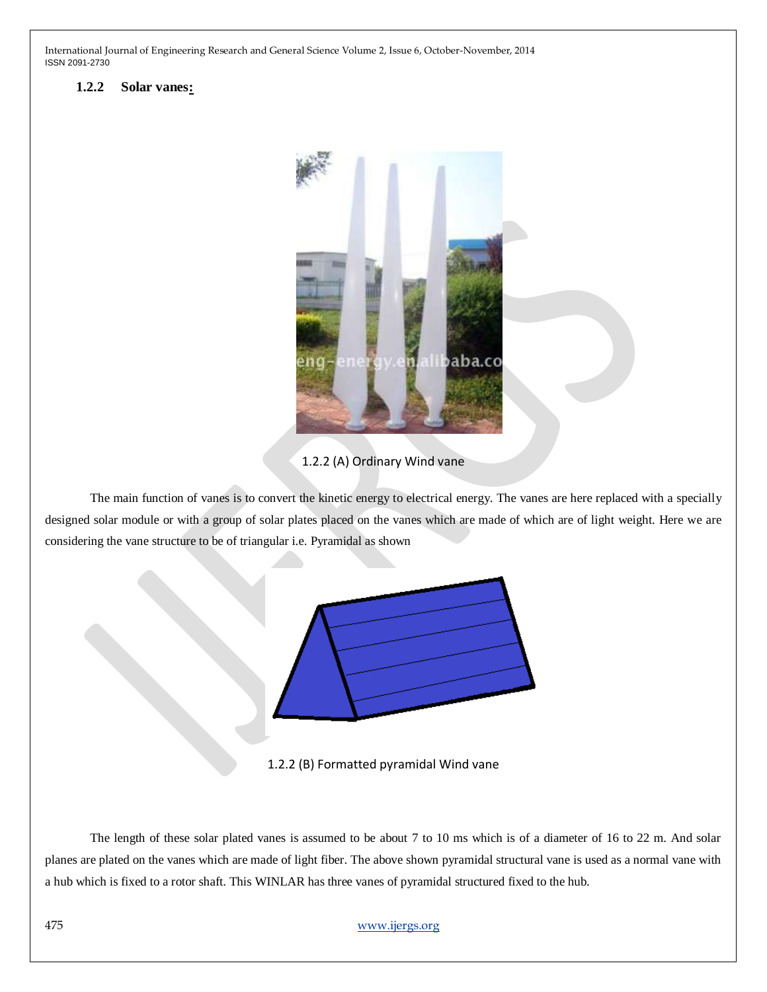## **1.2.2 Solar vanes:**



1.2.2 (A) Ordinary Wind vane

The main function of vanes is to convert the kinetic energy to electrical energy. The vanes are here replaced with a specially designed solar module or with a group of solar plates placed on the vanes which are made of which are of light weight. Here we are considering the vane structure to be of triangular i.e. Pyramidal as shown



1.2.2 (B) Formatted pyramidal Wind vane

The length of these solar plated vanes is assumed to be about 7 to 10 ms which is of a diameter of 16 to 22 m. And solar planes are plated on the vanes which are made of light fiber. The above shown pyramidal structural vane is used as a normal vane with a hub which is fixed to a rotor shaft. This WINLAR has three vanes of pyramidal structured fixed to the hub.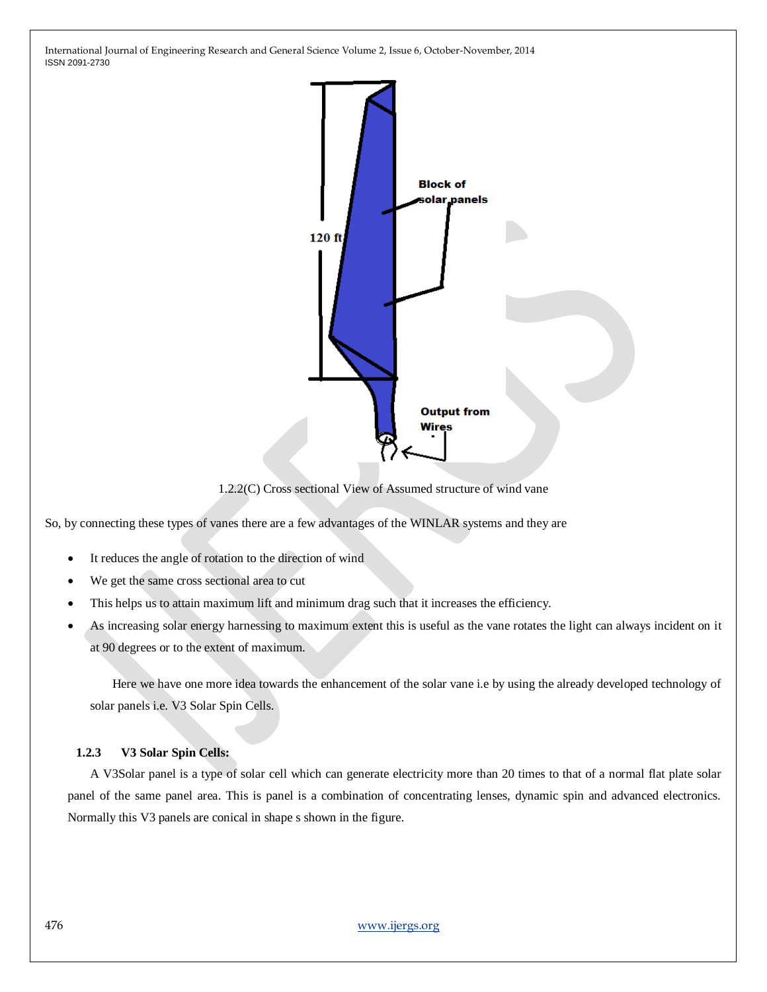

1.2.2(C) Cross sectional View of Assumed structure of wind vane

So, by connecting these types of vanes there are a few advantages of the WINLAR systems and they are

- It reduces the angle of rotation to the direction of wind
- We get the same cross sectional area to cut
- This helps us to attain maximum lift and minimum drag such that it increases the efficiency.
- As increasing solar energy harnessing to maximum extent this is useful as the vane rotates the light can always incident on it at 90 degrees or to the extent of maximum.

 Here we have one more idea towards the enhancement of the solar vane i.e by using the already developed technology of solar panels i.e. V3 Solar Spin Cells.

#### **1.2.3 V3 Solar Spin Cells:**

A V3Solar panel is a type of solar cell which can generate electricity more than 20 times to that of a normal flat plate solar panel of the same panel area. This is panel is a combination of concentrating lenses, dynamic spin and advanced electronics. Normally this V3 panels are conical in shape s shown in the figure.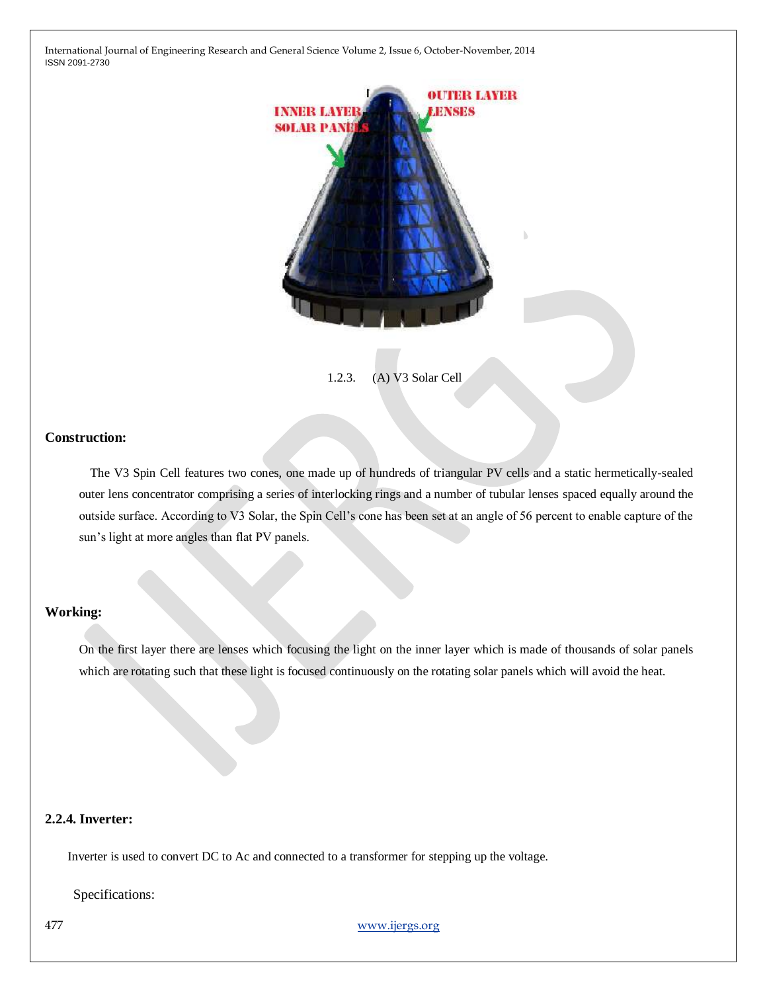

1.2.3. (A) V3 Solar Cell

#### **Construction:**

The V3 Spin Cell features two cones, one made up of hundreds of triangular PV cells and a static hermetically-sealed outer lens concentrator comprising a series of interlocking rings and a number of tubular lenses spaced equally around the outside surface. According to V3 Solar, the Spin Cell's cone has been set at an angle of 56 percent to enable capture of the sun's light at more angles than flat PV panels.

## **Working:**

On the first layer there are lenses which focusing the light on the inner layer which is made of thousands of solar panels which are rotating such that these light is focused continuously on the rotating solar panels which will avoid the heat.

## **2.2.4. Inverter:**

Inverter is used to convert DC to Ac and connected to a transformer for stepping up the voltage.

Specifications:

477 [www.ijergs.org](http://www.ijergs.org/)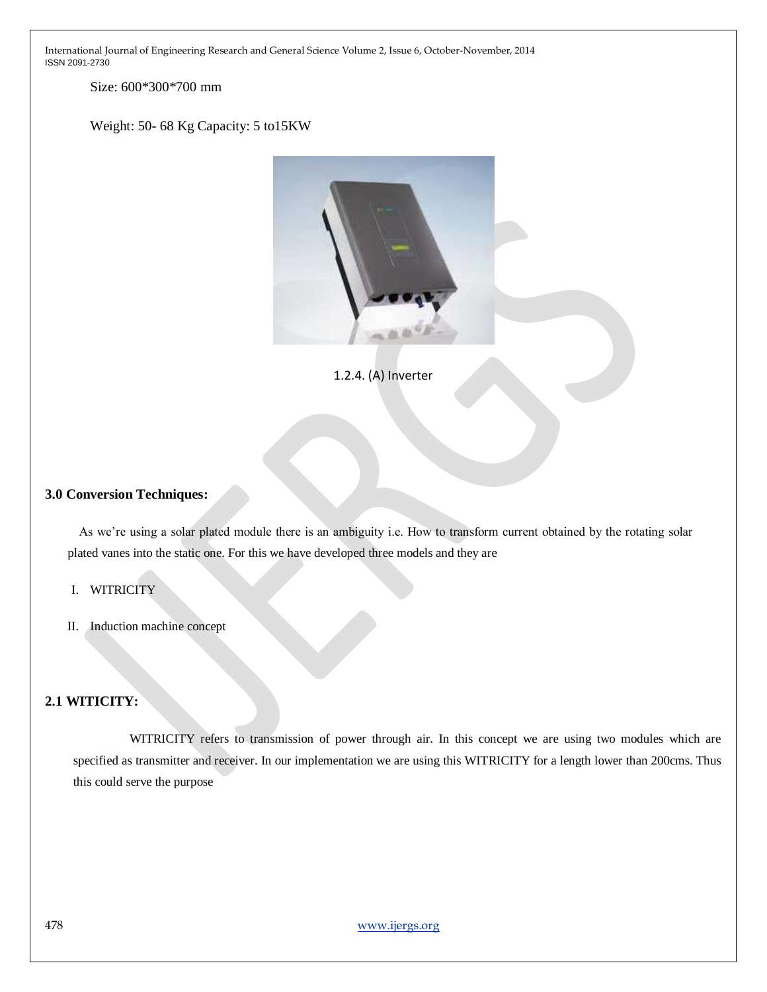Size: 600\*300\*700 mm

Weight: 50- 68 Kg Capacity: 5 to15KW



1.2.4. (A) Inverter

#### **3.0 Conversion Techniques:**

As we're using a solar plated module there is an ambiguity i.e. How to transform current obtained by the rotating solar plated vanes into the static one. For this we have developed three models and they are

#### I. WITRICITY

II. Induction machine concept

# **2.1 WITICITY:**

WITRICITY refers to transmission of power through air. In this concept we are using two modules which are specified as transmitter and receiver. In our implementation we are using this WITRICITY for a length lower than 200cms. Thus this could serve the purpose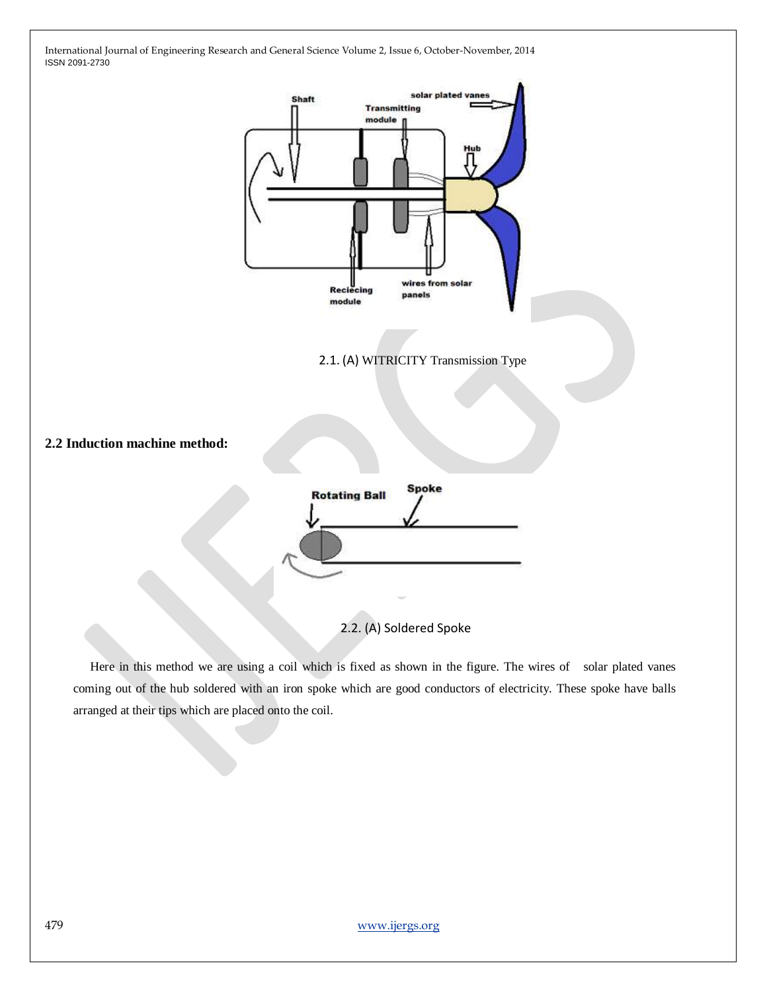

2.2. (A) Soldered Spoke

Here in this method we are using a coil which is fixed as shown in the figure. The wires of solar plated vanes coming out of the hub soldered with an iron spoke which are good conductors of electricity. These spoke have balls arranged at their tips which are placed onto the coil.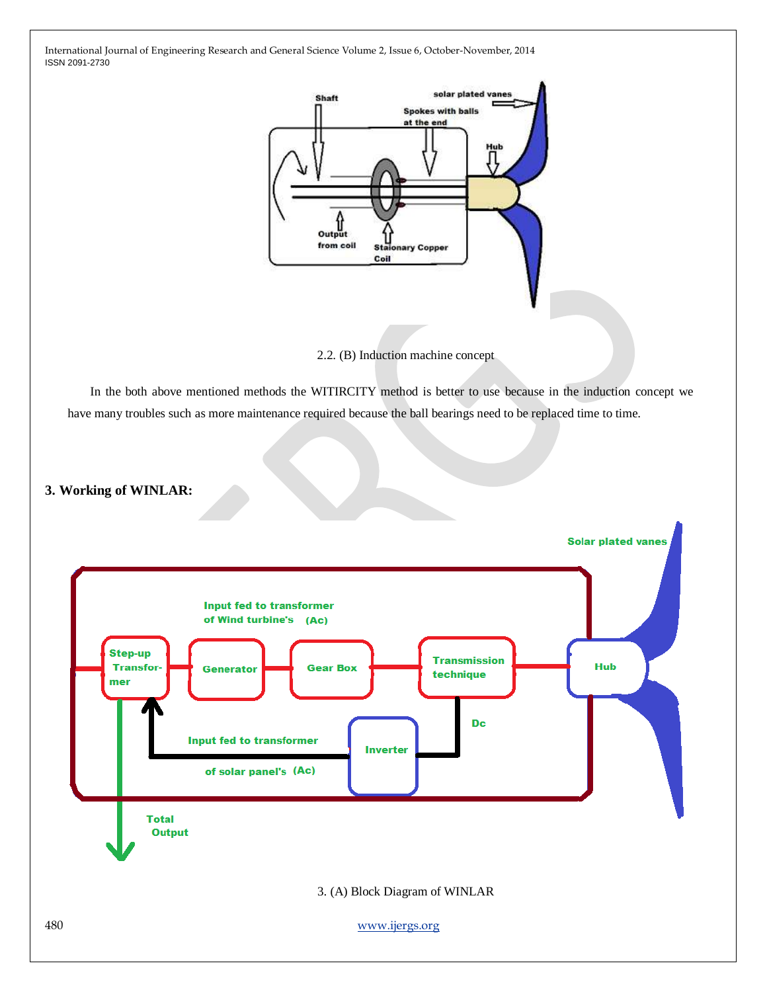

2.2. (B) Induction machine concept

In the both above mentioned methods the WITIRCITY method is better to use because in the induction concept we have many troubles such as more maintenance required because the ball bearings need to be replaced time to time.

# **3. Working of WINLAR:**

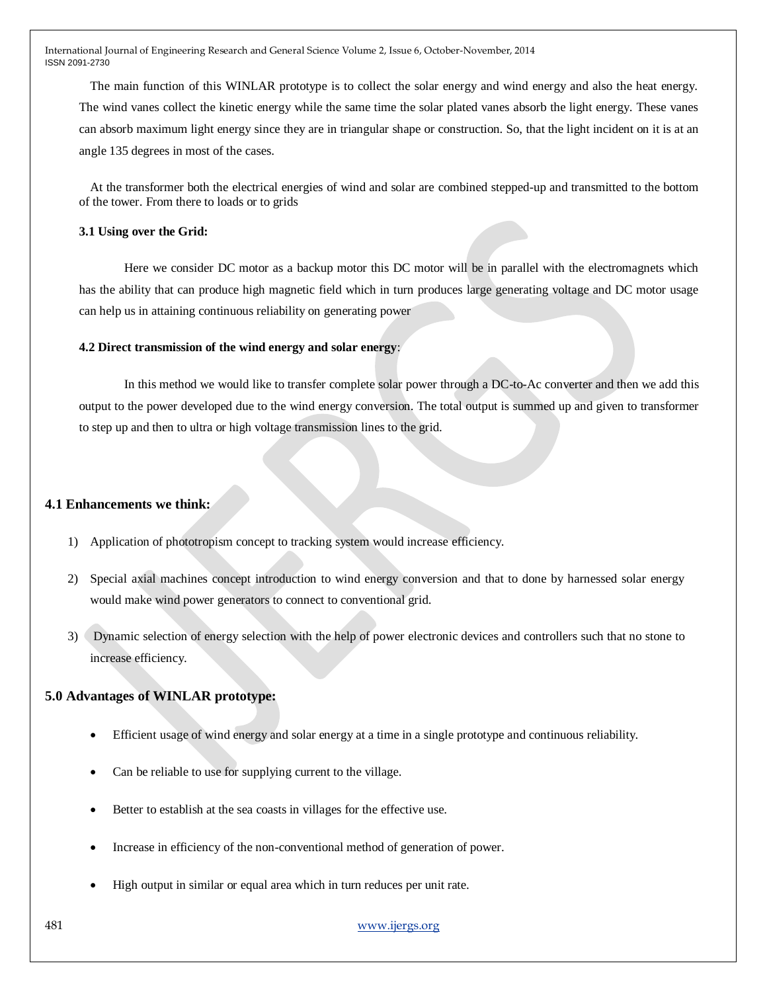The main function of this WINLAR prototype is to collect the solar energy and wind energy and also the heat energy. The wind vanes collect the kinetic energy while the same time the solar plated vanes absorb the light energy. These vanes can absorb maximum light energy since they are in triangular shape or construction. So, that the light incident on it is at an angle 135 degrees in most of the cases.

At the transformer both the electrical energies of wind and solar are combined stepped-up and transmitted to the bottom of the tower. From there to loads or to grids

#### **3.1 Using over the Grid:**

Here we consider DC motor as a backup motor this DC motor will be in parallel with the electromagnets which has the ability that can produce high magnetic field which in turn produces large generating voltage and DC motor usage can help us in attaining continuous reliability on generating power

#### **4.2 Direct transmission of the wind energy and solar energy**:

In this method we would like to transfer complete solar power through a DC-to-Ac converter and then we add this output to the power developed due to the wind energy conversion. The total output is summed up and given to transformer to step up and then to ultra or high voltage transmission lines to the grid.

#### **4.1 Enhancements we think:**

- 1) Application of phototropism concept to tracking system would increase efficiency.
- 2) Special axial machines concept introduction to wind energy conversion and that to done by harnessed solar energy would make wind power generators to connect to conventional grid.
- 3) Dynamic selection of energy selection with the help of power electronic devices and controllers such that no stone to increase efficiency.

#### **5.0 Advantages of WINLAR prototype:**

- Efficient usage of wind energy and solar energy at a time in a single prototype and continuous reliability.
- Can be reliable to use for supplying current to the village.
- Better to establish at the sea coasts in villages for the effective use.
- Increase in efficiency of the non-conventional method of generation of power.
- High output in similar or equal area which in turn reduces per unit rate.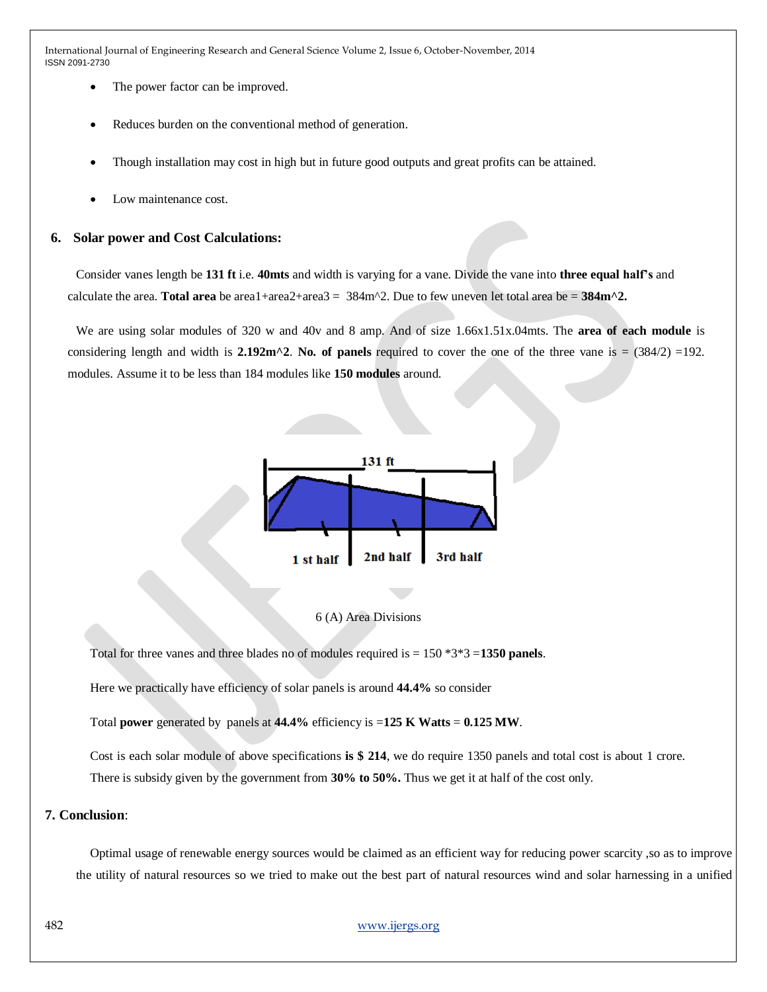- The power factor can be improved.
- Reduces burden on the conventional method of generation.
- Though installation may cost in high but in future good outputs and great profits can be attained.
- Low maintenance cost.

#### **6. Solar power and Cost Calculations:**

Consider vanes length be **131 ft** i.e. **40mts** and width is varying for a vane. Divide the vane into **three equal half's** and calculate the area. **Total area** be area1+area2+area3 =  $384m^2$ . Due to few uneven let total area be =  $384m^2$ .

We are using solar modules of 320 w and 40v and 8 amp. And of size 1.66x1.51x.04mts. The **area of each module** is considering length and width is **2.192m^2**. No. of panels required to cover the one of the three vane is =  $(384/2) =192$ . modules. Assume it to be less than 184 modules like **150 modules** around.



#### 6 (A) Area Divisions

Total for three vanes and three blades no of modules required is = 150 \*3\*3 =**1350 panels**.

Here we practically have efficiency of solar panels is around **44.4%** so consider

Total **power** generated by panels at  $44.4\%$  efficiency is  $=125$  K Watts  $= 0.125$  MW.

Cost is each solar module of above specifications **is \$ 214**, we do require 1350 panels and total cost is about 1 crore. There is subsidy given by the government from **30% to 50%.** Thus we get it at half of the cost only.

#### **7. Conclusion**:

Optimal usage of renewable energy sources would be claimed as an efficient way for reducing power scarcity ,so as to improve the utility of natural resources so we tried to make out the best part of natural resources wind and solar harnessing in a unified